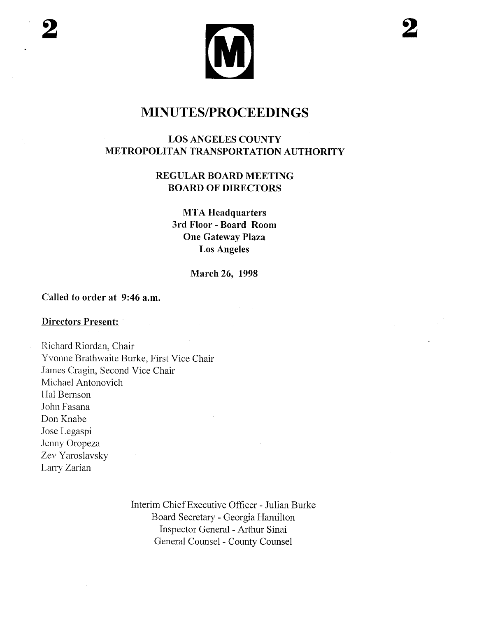

### LOS ANGELES COUNTY METROPOLITAN TRANSPORTATION AUTHORITY

## REGULAR BOARD MEETING BOARD OF DIRECTORS

**MTA Headquarters** 3rd Floor - Board Room One Gateway Plaza Los Angeles

March 26, 1998

#### Called to order at 9:46 a.m.

#### Directors Present:

Richard Riordan, Chair Yvonne Brathwaite Burke, First Vice Chair James Cragin, Second Vice Chair Michael Antonovich Hal Bernson John Fasana Don Knabe Jose Legaspi Jenny Oropeza Zev Yaroslavsky Larry Zarian

> Interim Chief Executive Officer - Julian Burke Board Secretary - Georgia Hamilton Inspector General - Arhur Sinai General Counsel - County Counsel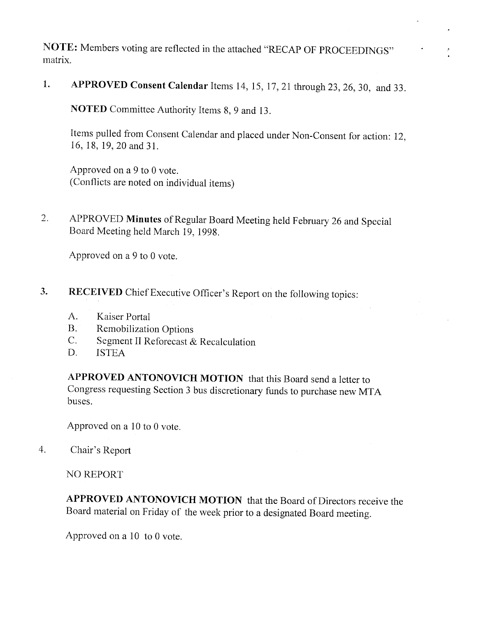NOTE: Members voting are reflected in the attached "RECAP OF PROCEEDINGS" matrix.

1. APPROVED Consent Calendar Items 14,15,17,21 through 23,26,30, and 33.

NOTED Committee Authority Items 8, 9 and 13.

Items pulled from Consent Calendar and placed under Non-Consent for action: 12, 16,18,19,20 and 31.

Approved on a 9 to 0 vote. (Conflicts are noted on individual items)

2. APPROVED Minutes of Regular Board Meeting held February 26 and Special Board Meeting held March 19, 1998.

Approved on a 9 to 0 vote.

- 3. RECEIVED Chief Executive Officer's Report on the following topics:
	- A. Kaiser Portal
	- B. Remobilization Options
	- C. Segment II Reforecast & Recalculation
	- D. ISTEA

APPROVED ANTONOVICH MOTION that this Board send a letter to Congress requesting Section 3 bus discretionary funds to purchase new MT A buses.

Approved on a 10 to 0 vote.

4. Chair's Report

NO REPORT

APPROVED ANTONOVICH MOTION that the Board of Directors receive the Board material on Friday of the week prior to a designated Board meeting.

Approved on a 10 to 0 vote.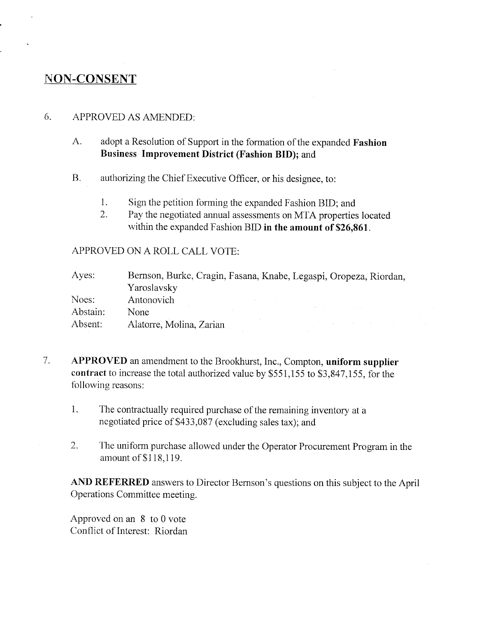## NON-CONSENT

#### 6. APPROVED AS AMENDED:

- A. adopt a Resolution of Support in the formation of the expanded Fashion Business Improvement District (Fashion BID); and
- B. authorizing the Chief Executive Officer, or his designee, to:
	- 1. Sign the petition forming the expanded Fashion BID; and
	- 2. Pay the negotiated annual assessments on MTA properties located within the expanded Fashion BID in the amount of \$26,861.

APPROVED ON A ROLL CALL VOTE:

| Ayes:    | Bernson, Burke, Cragin, Fasana, Knabe, Legaspi, Oropeza, Riordan, |                                                                                                                                                                                                                                                                                                                                                                                                                                                             |
|----------|-------------------------------------------------------------------|-------------------------------------------------------------------------------------------------------------------------------------------------------------------------------------------------------------------------------------------------------------------------------------------------------------------------------------------------------------------------------------------------------------------------------------------------------------|
|          | Yaroslavsky                                                       |                                                                                                                                                                                                                                                                                                                                                                                                                                                             |
| Noes:    | Antonovich                                                        |                                                                                                                                                                                                                                                                                                                                                                                                                                                             |
| Abstain: | None                                                              | see the control of the control of the                                                                                                                                                                                                                                                                                                                                                                                                                       |
| Absent:  | Alatorre, Molina, Zarian                                          | $\label{eq:2.1} \mathcal{L}^{\mathcal{A}}_{\mathcal{A}}(\mathcal{A})=\mathcal{L}^{\mathcal{A}}_{\mathcal{A}}(\mathcal{A})\mathcal{A}^{\mathcal{A}}_{\mathcal{A}}(\mathcal{A})=\mathcal{L}^{\mathcal{A}}_{\mathcal{A}}(\mathcal{A})\mathcal{A}^{\mathcal{A}}_{\mathcal{A}}(\mathcal{A})\mathcal{A}^{\mathcal{A}}_{\mathcal{A}}(\mathcal{A})\mathcal{A}^{\mathcal{A}}_{\mathcal{A}}(\mathcal{A})\mathcal{A}^{\mathcal{A}}_{\mathcal{A}}(\mathcal{A})\mathcal$ |

- 7. APPROVED an amendment to the Brookhurst, Inc., Compton, uniform supplier contract to increase the total authorized value by \$551,155 to \$3,847,155, for the following reasons:
	- 1. The contractually required purchase of the remaining inventory at a negotiated price of \$433,087 (excluding sales tax); and
	- 2. The uniform purchase allowed under the Operator Procurement Program in the amount of \$118,119.

AND REFERRED answers to Director Bernson's questions on this subject to the April Operations Committee meeting.

Approved on an 8 to 0 vote Conflict of Interest: Riordan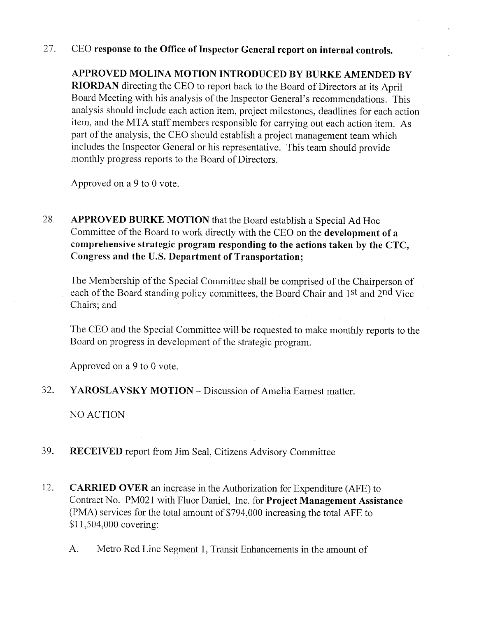#### 27. CEO response to the Office of Inspector General report on internal controls.

APPROVED MOLINA MOTION INTRODUCED BY BURKE AMENDED BY RIORDAN directing the CEO to report back to the Board of Directors at its April Board Meeting with his analysis of the Inspector General's recommendations. This analysis should include each action item, project milestones, deadlines for each action item, and the MTA staff members responsible for carrying out each action item. As part of the analysis, the CEO should establish a project management team which includes the Inspector General or his representative. This team should provide monthly progress reports to the Board of Directors.

Approved on a 9 to 0 vote.

28. APPROVED BURKE MOTION that the Board establish a Special Ad Hoc Committee of the Board to work directly with the CEO on the development of a comprehensive strategic program responding to the actions taken by the CTC, Congress and the U.S. Department of Transportation;

The Membership of the Special Committee shall be comprised of the Chairperson of each of the Board standing policy committees, the Board Chair and 1<sup>st</sup> and 2<sup>nd</sup> Vice Chairs; and

The CEO and the Special Committee will be requested to make monthly reports to the Board on progress in development of the strategic program.

Approved on a 9 to 0 vote.

32. YAROSLAVSKY MOTION – Discussion of Amelia Earnest matter.

NO ACTION

- 39. RECEIVED report from Jim Seal, Citizens Advisory Committee
- 12. CARRIED OVER an increase in the Authorization for Expenditure (AFE) to Contract No. PM021 with Fluor Daniel, Inc. for Project Management Assistance (PMA) services for the total amount of \$794,000 increasing the total AFE to \$11,504,000 covering:
	- A. Metro Red Line Segment 1, Transit Enhancements in the amount of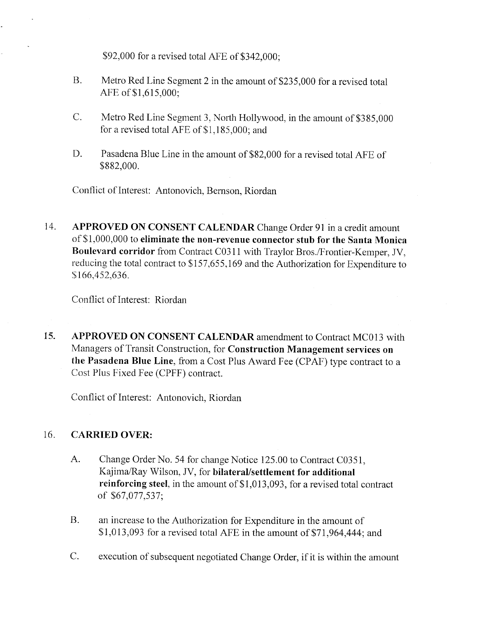\$92,000 for a revised total APE of \$342,000;

- B. Metro Red Line Segment 2 in the amount of \$235,000 for a revised total AFE of \$1,615,000;
- C. Metro Red Line Segment 3, North Hollywood, in the amount of \$385,000 for a revised total AFE of \$1,185,000; and
- D. Pasadena Blue Line in the amount of \$82,000 for a revised total AFE of \$882,000.

Conflict of Interest: Antonovich, Bernson, Riordan

14. APPROVED ON CONSENT CALENDAR Change Order 91 in a credit amount of\$I,OOO,OOO to eliminate the non-revenue connector stub for the Santa Monica Boulevard corridor from Contract C0311 with Traylor Bros./Frontier-Kemper, JV. reducing the total contract to \$157,655,169 and the Authorization for Expenditure to \$166,452,636.

Conflict of Interest: Riordan

15. APPROVED ON CONSENT CALENDAR amendment to Contract MC013 with Managers of Transit Construction, for Construction Management services on the Pasadena Blue Line, from a Cost PIus Award Fee (CPAF) type contract to a Cost PIus Fixed Fee (CPFF) contract.

Conflict of Interest: Antonovich, Riordan

#### 16. CARRIED OVER:

- A. Change Order No. 54 for change Notice 125.00 to Contract C03S1, Kajima/Ray Wilson, JV, for bilateral/settlement for additional reinforcing steel, in the amount of \$1,013,093, for a revised total contract of \$67,077,537;
- B. an increase to the Authorization for Expenditure in the amount of  $$1,013,093$  for a revised total AFE in the amount of \$71,964,444; and
- C. execution of subsequent negotiated Change Order, if it is within the amount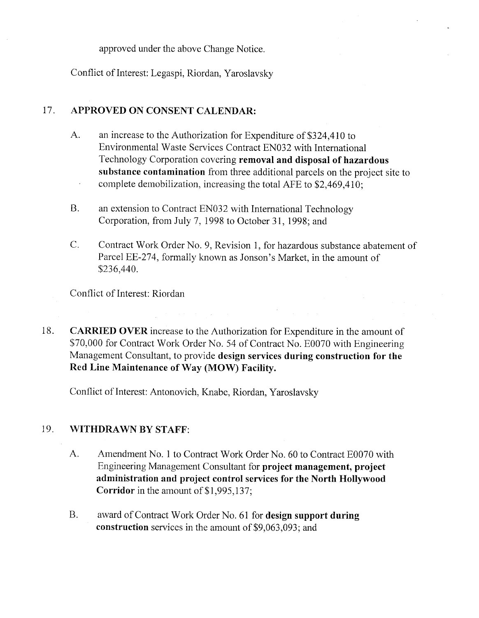approved under the above Change Notice.

Conflict of Interest: Legaspi, Riordan, Yaroslavsky

#### 17. APPROVED ON CONSENT CALENDAR:

- A. an increase to the Authorization for Expenditure of \$324,410 to Environmental Waste Services Contract EN032 with International Technology Corporation covering removal and disposal of hazardous substance contamination from three additional parcels on the project site to complete demobilization, increasing the total AFE to \$2,469,410;
- B. an extension to Contract EN032 with International Technology Corporation, from July 7,1998 to October 31,1998; and
- C. Contract Work Order No.9, Revision 1, for hazardous substance abatement of Parcel EE-274, formally known as Jonson's Market, in the amount of \$236,440.

Conflict of Interest: Riordan

18. CARRIED OVER increase to the Authorization for Expenditure in the amount of \$70,000 for Contract Work Order No. 54 of Contract No. E0070 with Engineering Management Consultant, to provide design services during construction for the Red Line Maintenance of Way (MOW) Facilty.

Conflict of Interest: Antonovich, Knabe, Riordan, Yaroslavsky

#### 19. WITHDRAWN BY STAFF:

- A. Amendment No.1 to Contract Work Order No. 60 to Contract E0070 with Engineering Management Consultant for project management, project administration and project control services for the North Hollywood Corridor in the amount of \$1,995,137;
- B. award of Contract Work Order No. 61 for design support during construction services in the amount of \$9,063,093; and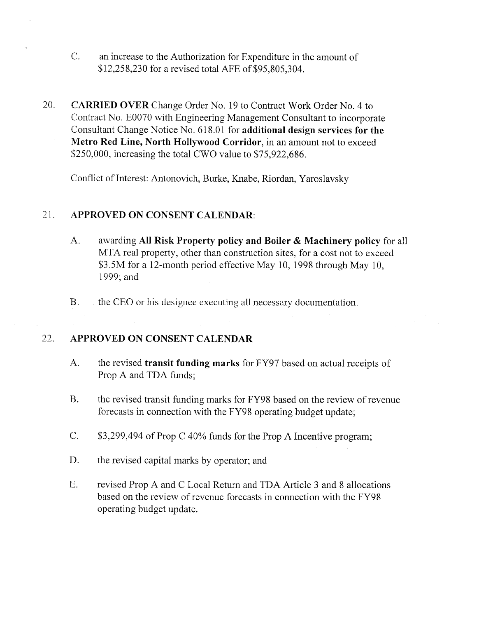- C. an increase to the Authorization for Expenditure in the amount of \$12,258,230 for a revised total AFE of \$95,805,304.
- 20. CARRIED OVER Change Order No. 19 to Contract Work Order No. 4 to Contract No. E0070 with Engineering Management Consultant to incorporate Consultant Change Notice No. 618.01 for additional design services for the Metro Red Line, North Hollywood Corridor, in an amount not to exceed \$250,000, increasing the total CWO value to \$75,922,686.

Conflict of Interest: Antonovich, Burke, Knabe, Riordan, Yaroslavsky

#### 21. APPROVED ON CONSENT CALENDAR:

- A. awarding All Risk Property policy and Boiler & Machinery policy for all MTA real property, other than construction sites, for a cost not to exceed \$3.5M for a 12-month period effective May 10, 1998 through May 10, 1999; and
- B. the CEO or his designee executing all necessary documentation.

#### 22. APPROVED ON CONSENT CALENDAR

- A. the revised transit funding marks for FY97 based on actual receipts of Prop A and TDA funds;
- B. the revised transit funding marks for FY98 based on the review of revenue forecasts in connection with the FY98 operating budget update;
- C. \$3,299,494 of Prop C 40% funds for the Prop A Incentive program;
- D. the revised capital marks by operator; and
- E. revised Prop A and C Local Return and TDA Article 3 and 8 allocations based on the review of revenue forecasts in connection with the FY98 operating budget update.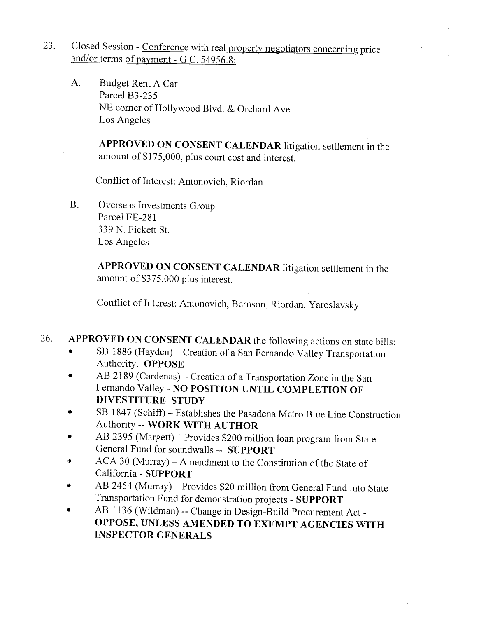- 23. Closed Session Conference with real property negotiators concerning price and/or terms of payment - G.C. 54956.8:
	- A. Budget Rent A Car Parcel B3-23S NE corner of Hollywood Blvd. & Orchard Ave Los Angeles

APPROVED ON CONSENT CALENDAR litigation settlement in the amount of \$175,000, plus court cost and interest.

Conflict of Interest: Antonovich, Riordan

B. Overseas Investments Group Parcel EE-28 1 339 N. Fickett St. Los Angeles

> APPROVED ON CONSENT CALENDAR litigation settlement in the amount of \$375,000 plus interest.

Conflict of Interest: Antonovich, Bernson, Riordan, Yaroslavsky

- 26. APPROVED ON CONSENT CALENDAR the following actions on state bills:
	- SB 1886 (Hayden) Creation of a San Fernando Valley Transportation Authority. OPPOSE
	- AB 2189 (Cardenas) Creation of a Transportation Zone in the San Fernando Valley - NO POSITION UNTIL COMPLETION OF DIVESTITURE STUDY
	- · SB 1847 (Schiff) Establishes the Pasadena Metro Blue Line Construction Authority -- WORK WITH AUTHOR
	- AB 2395 (Margett) Provides \$200 million loan program from State General Fund for soundwalls -- SUPPORT
	- ACA 30 (Murray) Amendment to the Constitution of the State of California - SUPPORT
	- AB 2454 (Murray) Provides \$20 million from General Fund into State Transportation Fund for demonstration projects - SUPPORT
	- .. AB 1136 (Wildman) -- Change in Design-Build Procurement Act-OPPOSE, UNLESS AMENDED TO EXEMPT AGENCIES WITH INSPECTOR GENERALS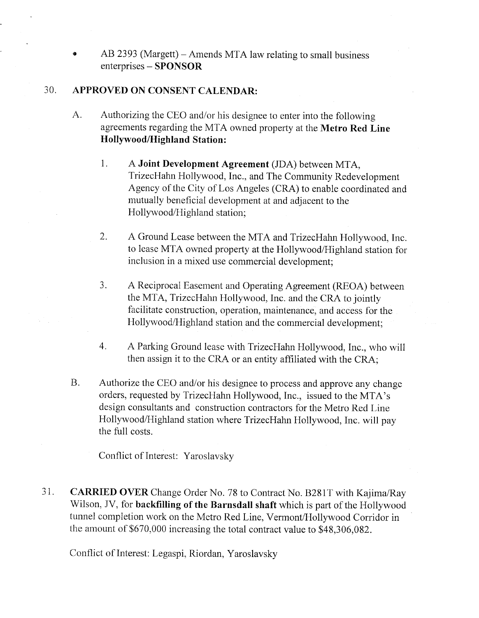$AB$  2393 (Margett) – Amends MTA law relating to small business enterprises - SPONSOR

#### 30. APPROVED ON CONSENT CALENDAR:

- A. Authorizing the CEO and/or his designee to enter into the following agreements regarding the MTA owned property at the Metro Red Line Hollywood/Highland Station:
	- 1. A Joint Development Agreement (JDA) between MTA, TrizecHahn Hollywood, Inc., and The Community Redevelopment Agency of the City of Los Angeles (CRA) to enable coordinated and mutually beneficial development at and adjacent to the Hollywood/Highland station;
	- 2. A Ground Lease between the MTA and TrizecHahn Hollywood, Inc. to lease MT A owned property at the Hollywood/Highland station for inclusion in a mixed use commercial development;
	- 3. A Reciprocal Easement and Operating Agreement (REOA) between the MTA, TrizecHahn Hollywood, Inc. and the CRA to jointly facilitate construction, operation, maintenance, and access for the Hollywood/Highland station and the commercial development;
	- 4. A Parking Ground lease with TrizecHahn Hollywood, Inc., who will then assign it to the CRA or an entity affiiated with the CRA;
- B. Authorize the CEO and/or his designee to process and approve any change orders, requested by TrizecHahn Hollywood, Inc., issued to the MTA's design consultants and construction contractors for the Metro Red Line Hollywood/Highland station where TrizecHahn Hollywood, Inc. will pay the full costs.

Conflict of Interest: Yaroslavsky

31. CARRIED OVER Change Order No. 78 to Contract No. B281T with Kajima/Ray Wilson, JV, for backfilling of the Barnsdall shaft which is part of the Hollywood tunnel completion work on the Metro Red Line, Vermont/Hollywood Corridor in the amount of \$670,000 increasing the total contract value to \$48,306,082.

Conflict of Interest: Legaspi, Riordan, Yaroslavsky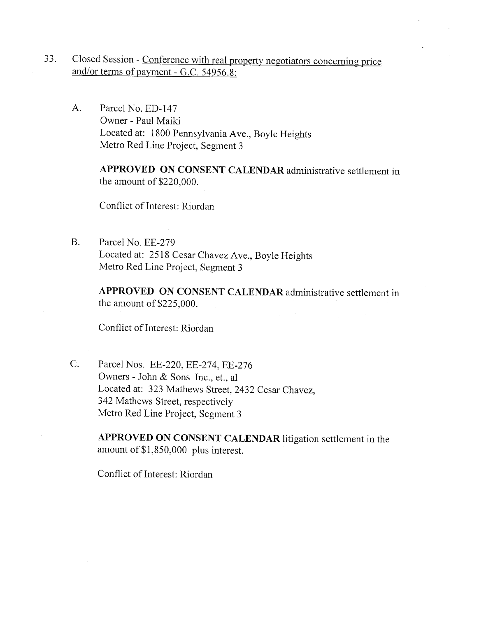- 33. Closed Session Conference with real property negotiators concerning price and/or terms of payment - G.C. 54956.8:
	- A. Parcel No. ED-147 Owner - Paul Maiki Located at: 1800 Pennsylvania Ave., Boyle Heights Metro Red Line Project, Segment 3

APPROVED ON CONSENT CALENDAR administrative settlement in the amount of \$220,000.

Conflict of Interest: Riordan

B. Parcel No. EE-279 Located at: 2518 Cesar Chavez Ave., Boyle Heights Metro Red Line Project, Segment 3

> APPROVED ON CONSENT CALENDAR administrative settlement in the amount of \$225,000.

Conflict of Interest: Riordan

C. Parcel Nos. EE-220, EE-274, EE-276 Owners - John & Sons Inc., et., al Located at: 323 Mathews Street, 2432 Cesar Chavez, 342 Mathews Street, respectively Metro Red Line Project, Segment 3

> APPROVED ON CONSENT CALENDAR litigation settlement in the amount of \$1,850,000 plus interest.

Conflict of Interest: Riordan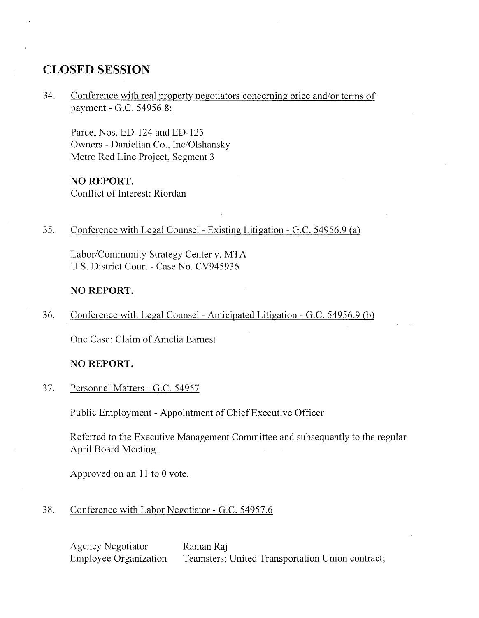## CLOSED SESSION

34. Conference with real property negotiators concerning price and/or terms of payment - G.c. 54956.8:

Parcel Nos. ED-124 and ED-12S Owners - Danielian Co., Inc/Olshansky Metro Red Line Project, Segment 3

#### NO REPORT.

Conflict of Interest: Riordan

35. Conference with Legal Counsel- Existing Litigation - G.C. 54956.9 (a)

Labor/Community Strategy Center v. MTA U.S. District Court - Case No. CV94S936

#### NO REPORT.

36. Conference with Legal Counsel - Anticipated Litigation - G.C. 54956.9 (b)

One Case: Claim of Amelia Earnest

#### NO REPORT.

37. Personnel Matters - G.c. 54957

Public Employment - Appointment of Chief Executive Officer

Referred to the Executive Management Committee and subsequently to the regular April Board Meeting.

Approved on an  $11$  to 0 vote.

#### 38. Conference with Labor Negotiator - G.C. 54957.6

Agency Negotiator Employee Organization Raman Raj Teamsters; United Transportation Union contract;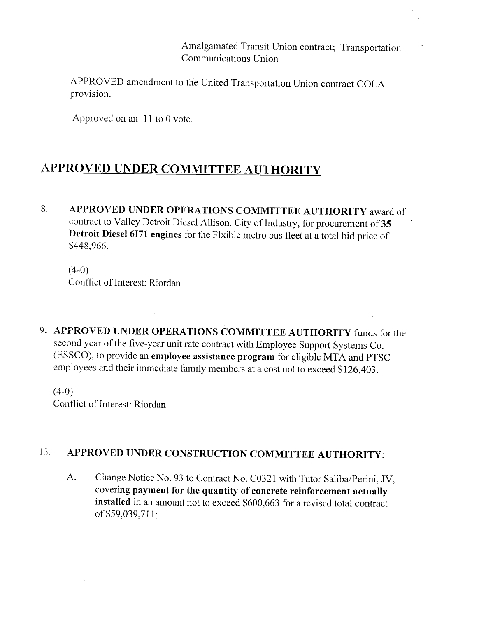Amalgamated Transit Union contract; Transportation Communications Union

APPROVED amendment to the United Transportation Union contract COLA provision.

Approved on an  $11$  to 0 vote.

# APPROVED UNDER COMMITTEE AUTHORITY

8. APPROVED UNDER OPERATIONS COMMITTEE AUTHORITY award of contract to Valley Detroit Diesel Allison, City of Industry, for procurement of 35 Detroit Diesel 6171 engines for the Flxible metro bus fleet at a total bid price of \$448,966.

 $(4-0)$ Conflict of Interest: Riordan

9. APPROVED UNDER OPERATIONS COMMITTEE AUTHORITY funds for the second year of the five-year unit rate contract with Employee Support Systems Co. (ESSCO), to provide an employee assistance program for eligible MTA and PTSC employees and their immediate family members at a cost not to exceed \$126,403.

 $(4-0)$ Conflict of Interest: Riordan

# 13. APPROVED UNDER CONSTRUCTION COMMITTEE AUTHORITY:

A. Change Notice No. 93 to Contract No. C0321 with Tutor Saliba/Perini, JV, covering payment for the quantity of concrete reinforcement actually installed in an amount not to exceed \$600,663 for a revised total contract of\$S9,039,711;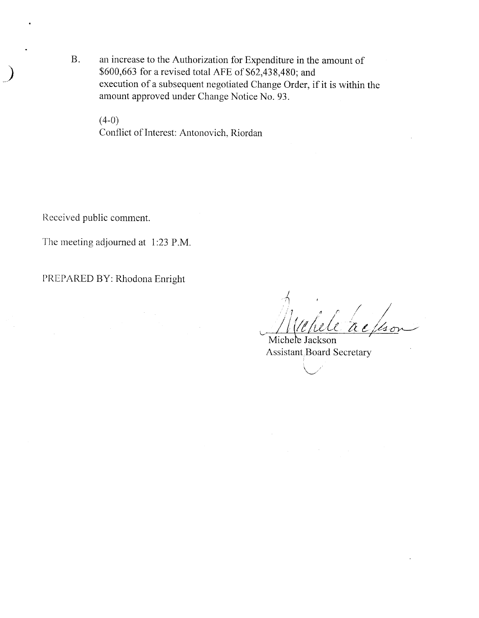B. an increase to the Authorization for Expenditure in the amount of \$600,663 for a revised total AFE of  $$62,438,480$ ; and execution of a subsequent negotiated Change Order, if it is within the amount approved under Change Notice No. 93.

 $(4-0)$ Conflict of Interest: Antonovich, Riordan

Received public comment.

~)

The meeting adjourned at 1:23 P.M.

PREPARED BY: Rhodona Enright

1<br>Webele a ela ac/son }<br>Much /  $1/10$ lele

Michele Jackson Assistant Board Secretary

 $\ddot{\phantom{1}}$  $\setminus$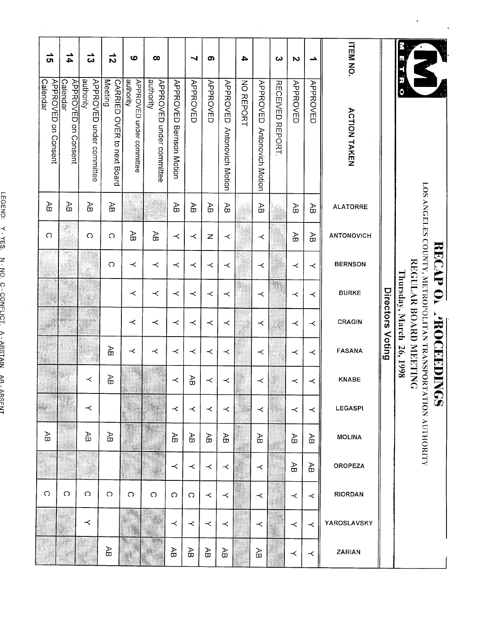| <b>OROPEZA</b><br><b>RIORDAN</b> | YAROSLAVSKY<br><b>ZARIAN</b> |
|----------------------------------|------------------------------|
| Æ<br>$\prec$                     | $\prec$<br>≺                 |
| Æ<br>$\prec$                     | $\prec$<br>≺                 |
| - 1                              |                              |
| ≺<br>$\prec$                     | $\prec$<br>Æ                 |
|                                  |                              |
| $\prec$<br>$\prec$               | $\prec$<br>Æ                 |
| ≺<br>$\prec$                     | $\prec$<br>Æ                 |
| ≺<br>$\Omega$                    | $\prec$<br>Æ                 |
| $\prec$<br>$\circ$               | $\prec$<br>Æ                 |
| $\Omega$                         |                              |
| $\circ$                          |                              |
| O                                | Æ                            |
| X<br>$\circ$                     | ≺                            |
| $\circ$                          | W,<br>Ĩ<br>X.                |
| O                                |                              |
|                                  |                              |

 $\cdot$